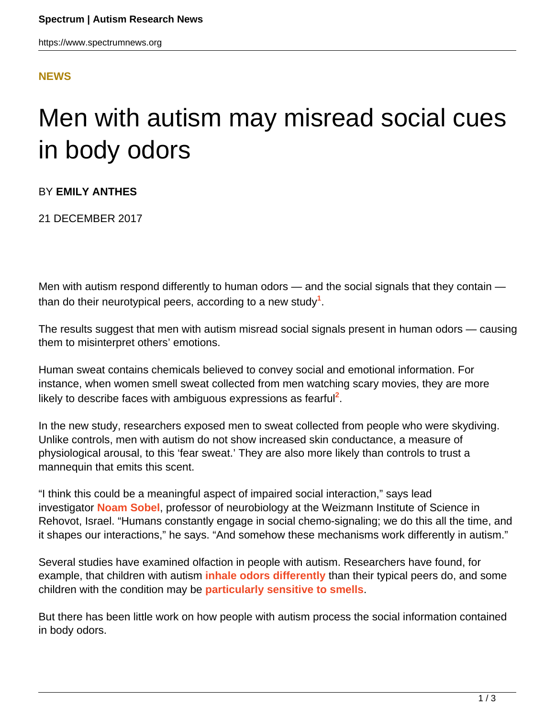#### **[NEWS](HTTPS://WWW.SPECTRUMNEWS.ORG/NEWS/)**

# Men with autism may misread social cues in body odors

BY **EMILY ANTHES**

21 DECEMBER 2017

Men with autism respond differently to human odors — and the social signals that they contain than do their neurotypical peers, according to a new study**<sup>1</sup>** .

The results suggest that men with autism misread social signals present in human odors — causing them to misinterpret others' emotions.

Human sweat contains chemicals believed to convey social and emotional information. For instance, when women smell sweat collected from men watching scary movies, they are more likely to describe faces with ambiguous expressions as fearful<sup>2</sup>.

In the new study, researchers exposed men to sweat collected from people who were skydiving. Unlike controls, men with autism do not show increased skin conductance, a measure of physiological arousal, to this 'fear sweat.' They are also more likely than controls to trust a mannequin that emits this scent.

"I think this could be a meaningful aspect of impaired social interaction," says lead investigator **[Noam Sobel](http://www.weizmann.ac.il/neurobiology/worg/lab.html)**, professor of neurobiology at the Weizmann Institute of Science in Rehovot, Israel. "Humans constantly engage in social chemo-signaling; we do this all the time, and it shapes our interactions," he says. "And somehow these mechanisms work differently in autism."

Several studies have examined olfaction in people with autism. Researchers have found, for example, that children with autism **[inhale odors differently](https://www.spectrumnews.org/news/test-detects-unusual-sense-of-smell-in-children-with-autism/)** than their typical peers do, and some children with the condition may be **[particularly sensitive to smells](https://www.spectrumnews.org/news/cognition-and-behavior-sensory-subtypes-divide-autism-cases/)**.

But there has been little work on how people with autism process the social information contained in body odors.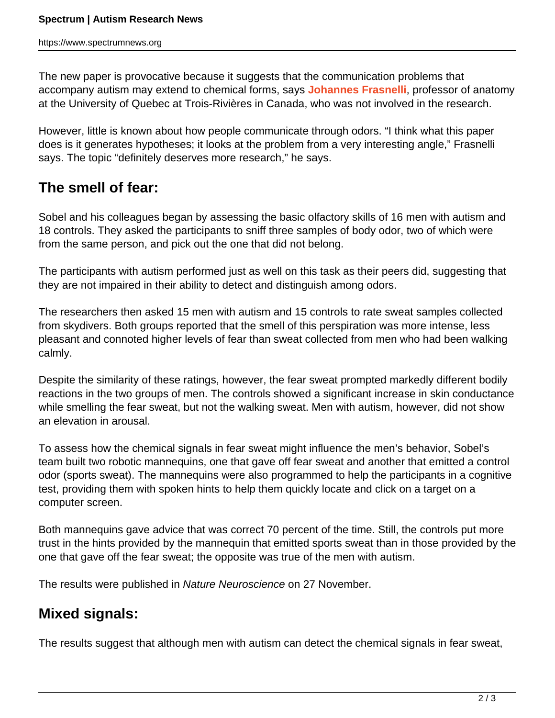The new paper is provocative because it suggests that the communication problems that accompany autism may extend to chemical forms, says **[Johannes Frasnelli](http://johannesfrasnelli.com/en/)**, professor of anatomy at the University of Quebec at Trois-Rivières in Canada, who was not involved in the research.

However, little is known about how people communicate through odors. "I think what this paper does is it generates hypotheses; it looks at the problem from a very interesting angle," Frasnelli says. The topic "definitely deserves more research," he says.

### **The smell of fear:**

Sobel and his colleagues began by assessing the basic olfactory skills of 16 men with autism and 18 controls. They asked the participants to sniff three samples of body odor, two of which were from the same person, and pick out the one that did not belong.

The participants with autism performed just as well on this task as their peers did, suggesting that they are not impaired in their ability to detect and distinguish among odors.

The researchers then asked 15 men with autism and 15 controls to rate sweat samples collected from skydivers. Both groups reported that the smell of this perspiration was more intense, less pleasant and connoted higher levels of fear than sweat collected from men who had been walking calmly.

Despite the similarity of these ratings, however, the fear sweat prompted markedly different bodily reactions in the two groups of men. The controls showed a significant increase in skin conductance while smelling the fear sweat, but not the walking sweat. Men with autism, however, did not show an elevation in arousal.

To assess how the chemical signals in fear sweat might influence the men's behavior, Sobel's team built two robotic mannequins, one that gave off fear sweat and another that emitted a control odor (sports sweat). The mannequins were also programmed to help the participants in a cognitive test, providing them with spoken hints to help them quickly locate and click on a target on a computer screen.

Both mannequins gave advice that was correct 70 percent of the time. Still, the controls put more trust in the hints provided by the mannequin that emitted sports sweat than in those provided by the one that gave off the fear sweat; the opposite was true of the men with autism.

The results were published in Nature Neuroscience on 27 November.

## **Mixed signals:**

The results suggest that although men with autism can detect the chemical signals in fear sweat,